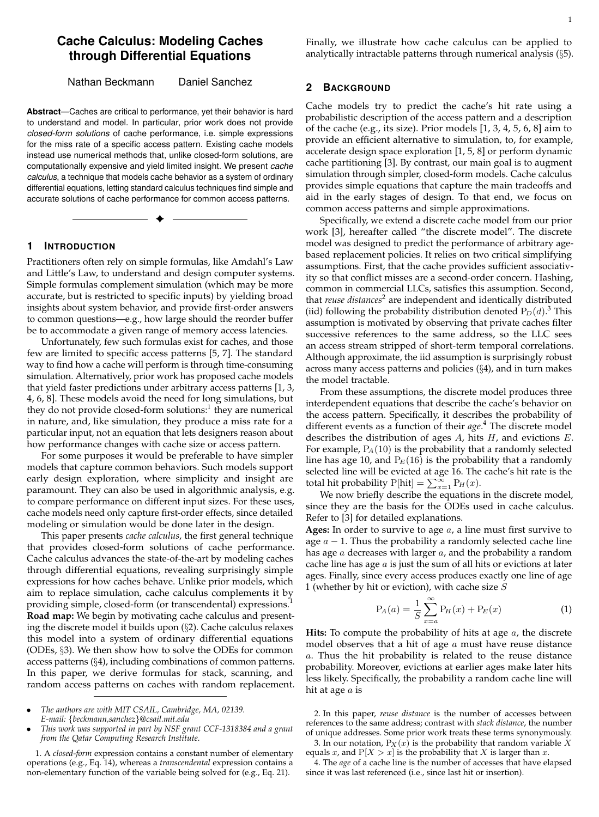# **Cache Calculus: Modeling Caches through Differential Equations**

Nathan Beckmann Daniel Sanchez

**Abstract**—Caches are critical to performance, yet their behavior is hard to understand and model. In particular, prior work does not provide *closed-form solutions* of cache performance, i.e. simple expressions for the miss rate of a specific access pattern. Existing cache models instead use numerical methods that, unlike closed-form solutions, are computationally expensive and yield limited insight. We present *cache calculus*, a technique that models cache behavior as a system of ordinary differential equations, letting standard calculus techniques find simple and accurate solutions of cache performance for common access patterns.

✦

### **1 INTRODUCTION**

Practitioners often rely on simple formulas, like Amdahl's Law and Little's Law, to understand and design computer systems. Simple formulas complement simulation (which may be more accurate, but is restricted to specific inputs) by yielding broad insights about system behavior, and provide first-order answers to common questions—e.g., how large should the reorder buffer be to accommodate a given range of memory access latencies.

Unfortunately, few such formulas exist for caches, and those few are limited to specific access patterns [\[5,](#page-3-0) [7\]](#page-3-1). The standard way to find how a cache will perform is through time-consuming simulation. Alternatively, prior work has proposed cache models that yield faster predictions under arbitrary access patterns [\[1,](#page-3-2) [3,](#page-3-3) [4,](#page-3-4) [6,](#page-3-5) [8\]](#page-3-6). These models avoid the need for long simulations, but they do not provide closed-form solutions:<sup>[1](#page-0-0)</sup> they are numerical in nature, and, like simulation, they produce a miss rate for a particular input, not an equation that lets designers reason about how performance changes with cache size or access pattern.

For some purposes it would be preferable to have simpler models that capture common behaviors. Such models support early design exploration, where simplicity and insight are paramount. They can also be used in algorithmic analysis, e.g. to compare performance on different input sizes. For these uses, cache models need only capture first-order effects, since detailed modeling or simulation would be done later in the design.

This paper presents *cache calculus*, the first general technique that provides closed-form solutions of cache performance. Cache calculus advances the state-of-the-art by modeling caches through differential equations, revealing surprisingly simple expressions for how caches behave. Unlike prior models, which aim to replace simulation, cache calculus complements it by providing simple, closed-form (or transcendental) expressions.<sup>[1](#page-0-0)</sup> **Road map:** We begin by motivating cache calculus and presenting the discrete model it builds upon (§[2\)](#page-0-1). Cache calculus relaxes this model into a system of ordinary differential equations (ODEs, §[3\)](#page-1-0). We then show how to solve the ODEs for common access patterns (§[4\)](#page-1-1), including combinations of common patterns. In this paper, we derive formulas for stack, scanning, and random access patterns on caches with random replacement.

• *This work was supported in part by NSF grant CCF-1318384 and a grant from the Qatar Computing Research Institute.*

<span id="page-0-0"></span>1. A *closed-form* expression contains a constant number of elementary operations (e.g., [Eq. 14\)](#page-2-0), whereas a *transcendental* expression contains a non-elementary function of the variable being solved for (e.g., [Eq. 21\)](#page-2-1).

Finally, we illustrate how cache calculus can be applied to analytically intractable patterns through numerical analysis (§[5\)](#page-3-7).

# <span id="page-0-1"></span>**2 BACKGROUND**

Cache models try to predict the cache's hit rate using a probabilistic description of the access pattern and a description of the cache (e.g., its size). Prior models [\[1,](#page-3-2) [3,](#page-3-3) [4,](#page-3-4) [5,](#page-3-0) [6,](#page-3-5) [8\]](#page-3-6) aim to provide an efficient alternative to simulation, to, for example, accelerate design space exploration [\[1,](#page-3-2) [5,](#page-3-0) [8\]](#page-3-6) or perform dynamic cache partitioning [\[3\]](#page-3-3). By contrast, our main goal is to augment simulation through simpler, closed-form models. Cache calculus provides simple equations that capture the main tradeoffs and aid in the early stages of design. To that end, we focus on common access patterns and simple approximations.

Specifically, we extend a discrete cache model from our prior work [\[3\]](#page-3-3), hereafter called "the discrete model". The discrete model was designed to predict the performance of arbitrary agebased replacement policies. It relies on two critical simplifying assumptions. First, that the cache provides sufficient associativity so that conflict misses are a second-order concern. Hashing, common in commercial LLCs, satisfies this assumption. Second, that *reuse distances*<sup>[2](#page-0-2)</sup> are independent and identically distributed (iid) following the probability distribution denoted  $P_D(d)$ .<sup>[3](#page-0-3)</sup> This assumption is motivated by observing that private caches filter successive references to the same address, so the LLC sees an access stream stripped of short-term temporal correlations. Although approximate, the iid assumption is surprisingly robust across many access patterns and policies (§[4\)](#page-1-1), and in turn makes the model tractable.

From these assumptions, the discrete model produces three interdependent equations that describe the cache's behavior on the access pattern. Specifically, it describes the probability of different events as a function of their *age*. [4](#page-0-4) The discrete model describes the distribution of ages  $A$ , hits  $H$ , and evictions  $E$ . For example,  $P_A(10)$  is the probability that a randomly selected line has age 10, and  $P_E(16)$  is the probability that a randomly selected line will be evicted at age 16. The cache's hit rate is the total hit probability  $P[hit] = \sum_{x=1}^{\infty} P_H(x)$ .

We now briefly describe the equations in the discrete model, since they are the basis for the ODEs used in cache calculus. Refer to [\[3\]](#page-3-3) for detailed explanations.

**Ages:** In order to survive to age a, a line must first survive to age  $a - 1$ . Thus the probability a randomly selected cache line has age  $a$  decreases with larger  $a$ , and the probability a random cache line has age a is just the sum of all hits or evictions at later ages. Finally, since every access produces exactly one line of age 1 (whether by hit or eviction), with cache size  $S$ 

<span id="page-0-5"></span>
$$
P_A(a) = \frac{1}{S} \sum_{x=a}^{\infty} P_H(x) + P_E(x)
$$
 (1)

**Hits:** To compute the probability of hits at age a, the discrete model observes that a hit of age a must have reuse distance a. Thus the hit probability is related to the reuse distance probability. Moreover, evictions at earlier ages make later hits less likely. Specifically, the probability a random cache line will hit at age a is

<span id="page-0-2"></span>2. In this paper, *reuse distance* is the number of accesses between references to the same address; contrast with *stack distance*, the number of unique addresses. Some prior work treats these terms synonymously.

<sup>•</sup> *The authors are with MIT CSAIL, Cambridge, MA, 02139. E-mail:* {*beckmann,sanchez*}*@csail.mit.edu*

<span id="page-0-3"></span><sup>3.</sup> In our notation,  $P_X(x)$  is the probability that random variable X equals x, and  $P[X > x]$  is the probability that X is larger than x.

<span id="page-0-4"></span><sup>4.</sup> The *age* of a cache line is the number of accesses that have elapsed since it was last referenced (i.e., since last hit or insertion).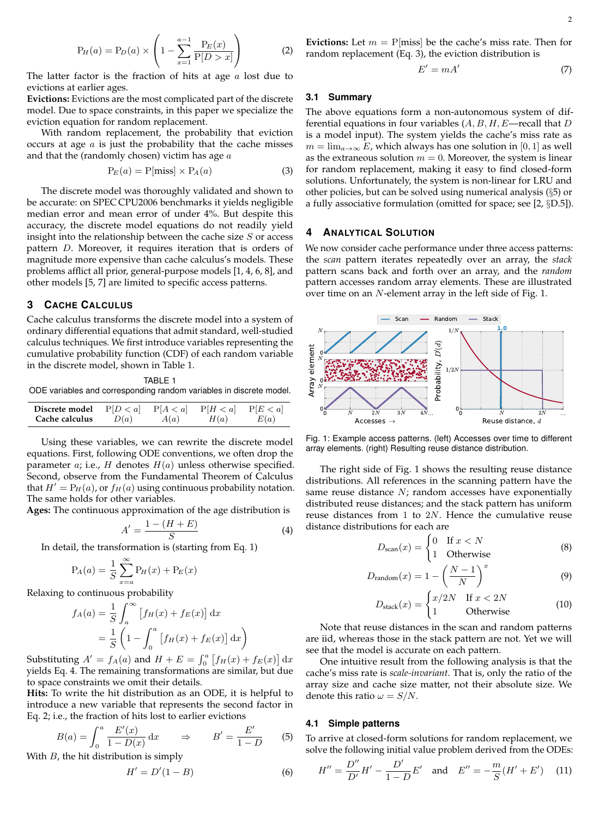<span id="page-1-4"></span>
$$
P_H(a) = P_D(a) \times \left(1 - \sum_{x=1}^{a-1} \frac{P_E(x)}{P[D > x]}\right)
$$
 (2)

The latter factor is the fraction of hits at age  $a$  lost due to evictions at earlier ages.

**Evictions:** Evictions are the most complicated part of the discrete model. Due to space constraints, in this paper we specialize the eviction equation for random replacement.

With random replacement, the probability that eviction occurs at age  $a$  is just the probability that the cache misses and that the (randomly chosen) victim has age a

<span id="page-1-5"></span>
$$
P_E(a) = P[miss] \times P_A(a)
$$
 (3)

The discrete model was thoroughly validated and shown to be accurate: on SPEC CPU2006 benchmarks it yields negligible median error and mean error of under 4%. But despite this accuracy, the discrete model equations do not readily yield insight into the relationship between the cache size  $S$  or access pattern D. Moreover, it requires iteration that is orders of magnitude more expensive than cache calculus's models. These problems afflict all prior, general-purpose models [\[1,](#page-3-2) [4,](#page-3-4) [6,](#page-3-5) [8\]](#page-3-6), and other models [\[5,](#page-3-0) [7\]](#page-3-1) are limited to specific access patterns.

# <span id="page-1-0"></span>**3 CACHE CALCULUS**

Cache calculus transforms the discrete model into a system of ordinary differential equations that admit standard, well-studied calculus techniques. We first introduce variables representing the cumulative probability function (CDF) of each random variable in the discrete model, shown in [Table 1.](#page-1-2)

<span id="page-1-2"></span>TABLE 1 ODE variables and corresponding random variables in discrete model.

| <b>Discrete model</b> $P[D < a]$ $P[A < a]$ $P[H < a]$ $P[E < a]$ |      |      |      |      |
|-------------------------------------------------------------------|------|------|------|------|
| Cache calculus                                                    | D(a) | A(a) | H(a) | E(a) |

Using these variables, we can rewrite the discrete model equations. First, following ODE conventions, we often drop the parameter  $a$ ; i.e.,  $H$  denotes  $H(a)$  unless otherwise specified. Second, observe from the Fundamental Theorem of Calculus that  $H' = P_H(a)$ , or  $f_H(a)$  using continuous probability notation. The same holds for other variables.

**Ages:** The continuous approximation of the age distribution is

<span id="page-1-3"></span>
$$
A' = \frac{1 - (H + E)}{S} \tag{4}
$$

In detail, the transformation is (starting from [Eq. 1\)](#page-0-5)

$$
P_A(a) = \frac{1}{S} \sum_{x=a}^{\infty} P_H(x) + P_E(x)
$$

Relaxing to continuous probability

$$
f_A(a) = \frac{1}{S} \int_a^{\infty} \left[ f_H(x) + f_E(x) \right] dx
$$
  
= 
$$
\frac{1}{S} \left( 1 - \int_0^a \left[ f_H(x) + f_E(x) \right] dx \right)
$$

Substituting  $A' = f_A(a)$  and  $H + E = \int_0^a [f_H(x) + f_E(x)] dx$ yields [Eq. 4.](#page-1-3) The remaining transformations are similar, but due to space constraints we omit their details.

**Hits:** To write the hit distribution as an ODE, it is helpful to introduce a new variable that represents the second factor in [Eq. 2;](#page-1-4) i.e., the fraction of hits lost to earlier evictions

$$
B(a) = \int_0^a \frac{E'(x)}{1 - D(x)} dx \qquad \Rightarrow \qquad B' = \frac{E'}{1 - D} \tag{5}
$$

With  $B$ , the hit distribution is simply

<span id="page-1-10"></span>
$$
H' = D'(1 - B) \tag{6}
$$

**Evictions:** Let  $m = P$ [miss] be the cache's miss rate. Then for random replacement [\(Eq. 3\)](#page-1-5), the eviction distribution is

<span id="page-1-11"></span>
$$
E' = mA'
$$
 (7)

### **3.1 Summary**

The above equations form a non-autonomous system of differential equations in four variables  $(A, B, H, E$ —recall that D is a model input). The system yields the cache's miss rate as  $m = \lim_{a \to \infty} E$ , which always has one solution in [0, 1] as well as the extraneous solution  $m = 0$ . Moreover, the system is linear for random replacement, making it easy to find closed-form solutions. Unfortunately, the system is non-linear for LRU and other policies, but can be solved using numerical analysis (§[5\)](#page-3-7) or a fully associative formulation (omitted for space; see [\[2,](#page-3-8) §D.5]).

## <span id="page-1-1"></span>**4 ANALYTICAL SOLUTION**

We now consider cache performance under three access patterns: the *scan* pattern iterates repeatedly over an array, the *stack* pattern scans back and forth over an array, and the *random* pattern accesses random array elements. These are illustrated over time on an N-element array in the left side of [Fig. 1.](#page-1-6)

<span id="page-1-6"></span>

Fig. 1: Example access patterns. (left) Accesses over time to different array elements. (right) Resulting reuse distance distribution.

The right side of [Fig. 1](#page-1-6) shows the resulting reuse distance distributions. All references in the scanning pattern have the same reuse distance  $N$ ; random accesses have exponentially distributed reuse distances; and the stack pattern has uniform reuse distances from 1 to 2N. Hence the cumulative reuse distance distributions for each are

$$
D_{\text{scan}}(x) = \begin{cases} 0 & \text{If } x < N \\ 1 & \text{Otherwise} \end{cases} \tag{8}
$$

$$
D_{\text{random}}(x) = 1 - \left(\frac{N-1}{N}\right)^x \tag{9}
$$

<span id="page-1-9"></span><span id="page-1-7"></span>
$$
D_{\text{stack}}(x) = \begin{cases} x/2N & \text{If } x < 2N \\ 1 & \text{Otherwise} \end{cases}
$$
 (10)

Note that reuse distances in the scan and random patterns are iid, whereas those in the stack pattern are not. Yet we will see that the model is accurate on each pattern.

One intuitive result from the following analysis is that the cache's miss rate is *scale-invariant*. That is, only the ratio of the array size and cache size matter, not their absolute size. We denote this ratio  $\omega = S/N$ .

#### **4.1 Simple patterns**

To arrive at closed-form solutions for random replacement, we solve the following initial value problem derived from the ODEs:

<span id="page-1-8"></span>
$$
H'' = \frac{D''}{D'}H' - \frac{D'}{1 - D}E' \text{ and } E'' = -\frac{m}{S}(H' + E') \quad (11)
$$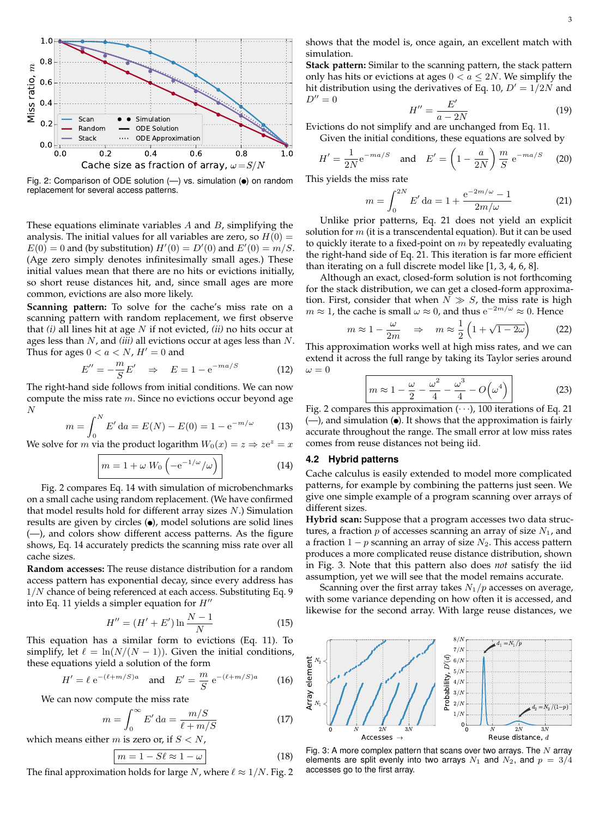<span id="page-2-2"></span>

Fig. 2: Comparison of ODE solution  $(-)$  vs. simulation  $(\bullet)$  on random replacement for several access patterns.

These equations eliminate variables  $A$  and  $B$ , simplifying the analysis. The initial values for all variables are zero, so  $H(0) =$  $E(0) = 0$  and (by substitution)  $H'(0) = D'(0)$  and  $E'(0) = m/S$ . (Age zero simply denotes infinitesimally small ages.) These initial values mean that there are no hits or evictions initially, so short reuse distances hit, and, since small ages are more common, evictions are also more likely.

**Scanning pattern:** To solve for the cache's miss rate on a scanning pattern with random replacement, we first observe that *(i)* all lines hit at age N if not evicted, *(ii)* no hits occur at ages less than N, and *(iii)* all evictions occur at ages less than N. Thus for ages  $0 < a < N$ ,  $H' = 0$  and

$$
E'' = -\frac{m}{S}E' \quad \Rightarrow \quad E = 1 - e^{-ma/S} \tag{12}
$$

The right-hand side follows from initial conditions. We can now compute the miss rate  $m$ . Since no evictions occur beyond age N

<span id="page-2-5"></span>
$$
m = \int_0^N E' \, \mathrm{d}a = E(N) - E(0) = 1 - \mathrm{e}^{-m/\omega} \tag{13}
$$

We solve for *m* via the product logarithm  $W_0(x) = z \Rightarrow ze^z = x$ 

$$
m = 1 + \omega W_0 \left( -e^{-1/\omega}/\omega \right)
$$
 (14)

[Fig. 2](#page-2-2) compares [Eq. 14](#page-2-0) with simulation of microbenchmarks on a small cache using random replacement. (We have confirmed that model results hold for different array sizes N.) Simulation results are given by circles  $(\bullet)$ , model solutions are solid lines (—), and colors show different access patterns. As the figure shows, [Eq. 14](#page-2-0) accurately predicts the scanning miss rate over all cache sizes.

**Random accesses:** The reuse distance distribution for a random access pattern has exponential decay, since every address has 1/N chance of being referenced at each access. Substituting [Eq. 9](#page-1-7) into [Eq. 11](#page-1-8) yields a simpler equation for  $H''$ 

$$
H'' = (H' + E') \ln \frac{N - 1}{N}
$$
 (15)

This equation has a similar form to evictions [\(Eq. 11\)](#page-1-8). To simplify, let  $\ell = \ln(N/(N - 1))$ . Given the initial conditions, these equations yield a solution of the form

$$
H' = \ell e^{-(\ell+m/S)a}
$$
 and  $E' = \frac{m}{S} e^{-(\ell+m/S)a}$  (16)

We can now compute the miss rate

$$
m = \int_0^\infty E' \, \mathrm{d}a = \frac{m/S}{\ell + m/S} \tag{17}
$$

which means either *m* is zero or, if  $S < N$ ,

$$
m = 1 - St \approx 1 - \omega \tag{18}
$$

The final approximation holds for large N, where  $\ell \approx 1/N$ . [Fig. 2](#page-2-2)

shows that the model is, once again, an excellent match with simulation.

**Stack pattern:** Similar to the scanning pattern, the stack pattern only has hits or evictions at ages  $0 < a \leq 2N$ . We simplify the hit distribution using the derivatives of [Eq. 10,](#page-1-9)  $D' = 1/2N$  and  $D''=0$  $\overline{a}$ 

$$
H'' = \frac{E'}{a - 2N} \tag{19}
$$

Evictions do not simplify and are unchanged from [Eq. 11.](#page-1-8)

Given the initial conditions, these equations are solved by

$$
H' = \frac{1}{2N} e^{-ma/S} \text{ and } E' = \left(1 - \frac{a}{2N}\right) \frac{m}{S} e^{-ma/S} \quad (20)
$$

This yields the miss rate

<span id="page-2-1"></span>
$$
m = \int_0^{2N} E' \, \mathrm{d}a = 1 + \frac{\mathrm{e}^{-2m/\omega} - 1}{2m/\omega} \tag{21}
$$

Unlike prior patterns, [Eq. 21](#page-2-1) does not yield an explicit solution for  $m$  (it is a transcendental equation). But it can be used to quickly iterate to a fixed-point on  $\overline{m}$  by repeatedly evaluating the right-hand side of [Eq. 21.](#page-2-1) This iteration is far more efficient than iterating on a full discrete model like [\[1,](#page-3-2) [3,](#page-3-3) [4,](#page-3-4) [6,](#page-3-5) [8\]](#page-3-6).

Although an exact, closed-form solution is not forthcoming for the stack distribution, we can get a closed-form approximation. First, consider that when  $N \gg S$ , the miss rate is high  $m \approx 1$ , the cache is small  $\omega \approx 0$ , and thus  $e^{-2m/\omega} \approx 0$ . Hence

$$
m \approx 1 - \frac{\omega}{2m} \quad \Rightarrow \quad m \approx \frac{1}{2} \left( 1 + \sqrt{1 - 2\omega} \right) \tag{22}
$$

<span id="page-2-4"></span>This approximation works well at high miss rates, and we can extend it across the full range by taking its Taylor series around  $\omega=0$ 

$$
m \approx 1 - \frac{\omega}{2} - \frac{\omega^2}{4} - \frac{\omega^3}{4} - O\left(\omega^4\right)
$$
 (23)

[Fig. 2](#page-2-2) compares this approximation  $(\cdot\cdot\cdot)$ , 100 iterations of [Eq. 21](#page-2-1)  $(-)$ , and simulation  $(\bullet)$ . It shows that the approximation is fairly accurate throughout the range. The small error at low miss rates comes from reuse distances not being iid.

### <span id="page-2-0"></span>**4.2 Hybrid patterns**

Cache calculus is easily extended to model more complicated patterns, for example by combining the patterns just seen. We give one simple example of a program scanning over arrays of different sizes.

**Hybrid scan:** Suppose that a program accesses two data structures, a fraction  $p$  of accesses scanning an array of size  $N_1$ , and a fraction  $1 - p$  scanning an array of size  $N_2$ . This access pattern produces a more complicated reuse distance distribution, shown in [Fig. 3.](#page-2-3) Note that this pattern also does *not* satisfy the iid assumption, yet we will see that the model remains accurate.

Scanning over the first array takes  $N_1/p$  accesses on average, with some variance depending on how often it is accessed, and likewise for the second array. With large reuse distances, we

<span id="page-2-3"></span>

Fig. 3: A more complex pattern that scans over two arrays. The  $N$  array elements are split evenly into two arrays  $N_1$  and  $N_2$ , and  $p = 3/4$ accesses go to the first array.